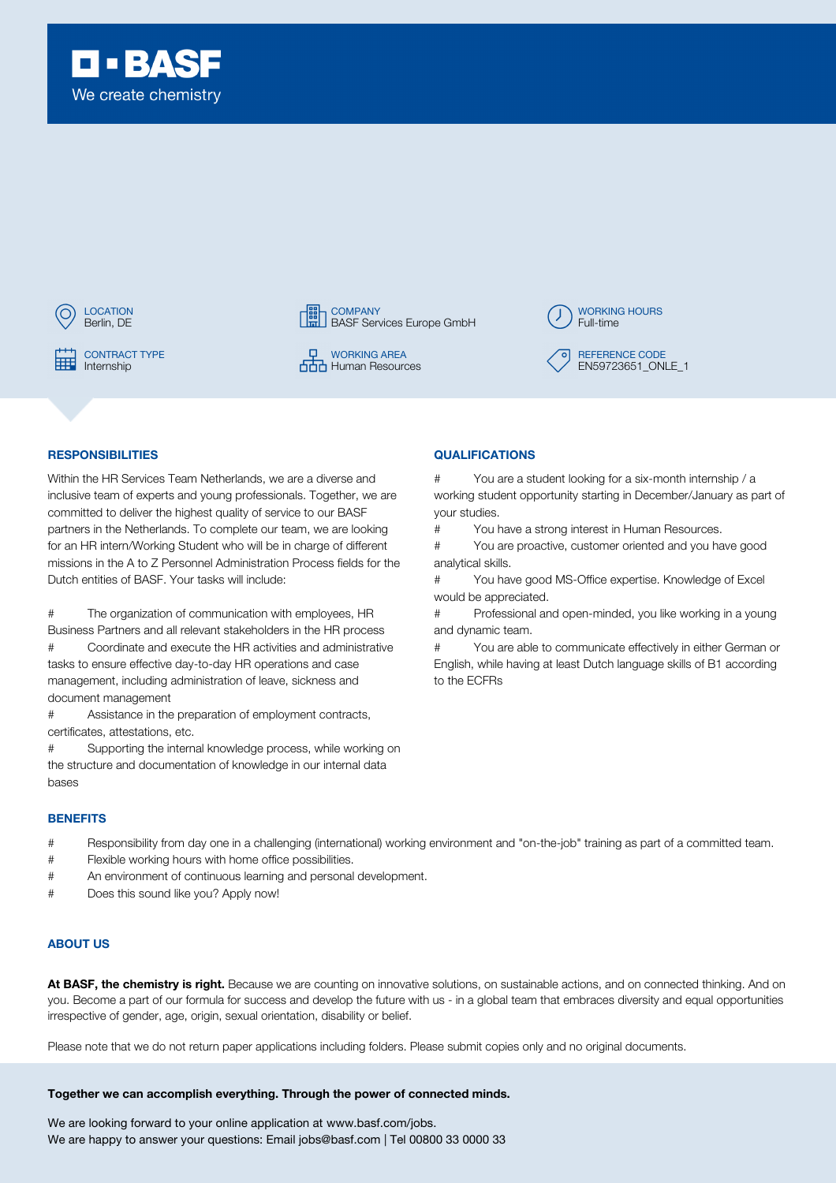





CONTRACT TYPE **DEVELOPS** ON THE **CONTRACT TYPE Human Resources** 



# RESPONSIBILITIES QUALIFICATIONS

Within the HR Services Team Netherlands, we are a diverse and inclusive team of experts and young professionals. Together, we are committed to deliver the highest quality of service to our BASF partners in the Netherlands. To complete our team, we are looking for an HR intern/Working Student who will be in charge of different missions in the A to Z Personnel Administration Process fields for the Dutch entities of BASF. Your tasks will include:

# The organization of communication with employees, HR Business Partners and all relevant stakeholders in the HR process # Coordinate and execute the HR activities and administrative

tasks to ensure effective day-to-day HR operations and case management, including administration of leave, sickness and document management

# Assistance in the preparation of employment contracts, certificates, attestations, etc.

# Supporting the internal knowledge process, while working on the structure and documentation of knowledge in our internal data bases

#### **BENEFITS**

- # Responsibility from day one in a challenging (international) working environment and "on-the-job" training as part of a committed team.
- # Flexible working hours with home office possibilities.
- # An environment of continuous learning and personal development.
- # Does this sound like you? Apply now!

# ABOUT US

At BASF, the chemistry is right. Because we are counting on innovative solutions, on sustainable actions, and on connected thinking. And on you. Become a part of our formula for success and develop the future with us - in a global team that embraces diversity and equal opportunities irrespective of gender, age, origin, sexual orientation, disability or belief.

Please note that we do not return paper applications including folders. Please submit copies only and no original documents.

### Together we can accomplish everything. Through the power of connected minds.

We are looking forward to your online application at www.basf.com/jobs. We are happy to answer your questions: Email jobs@basf.com | Tel 00800 33 0000 33

# You are a student looking for a six-month internship / a working student opportunity starting in December/January as part of your studies.

# You have a strong interest in Human Resources.

# You are proactive, customer oriented and you have good analytical skills.

# You have good MS-Office expertise. Knowledge of Excel would be appreciated.

# Professional and open-minded, you like working in a young and dynamic team.

# You are able to communicate effectively in either German or English, while having at least Dutch language skills of B1 according to the ECFRs